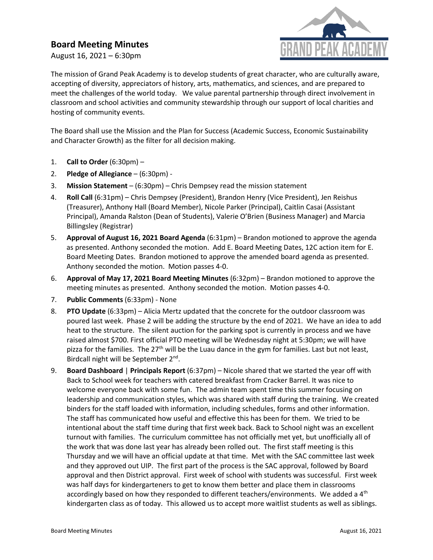## **Board Meeting Minutes**

August 16, 2021 – 6:30pm



The mission of Grand Peak Academy is to develop students of great character, who are culturally aware, accepting of diversity, appreciators of history, arts, mathematics, and sciences, and are prepared to meet the challenges of the world today. We value parental partnership through direct involvement in classroom and school activities and community stewardship through our support of local charities and hosting of community events.

The Board shall use the Mission and the Plan for Success (Academic Success, Economic Sustainability and Character Growth) as the filter for all decision making.

- 1. **Call to Order** (6:30pm) –
- 2. **Pledge of Allegiance** (6:30pm) -
- 3. **Mission Statement** (6:30pm) Chris Dempsey read the mission statement
- 4. **Roll Call** (6:31pm) Chris Dempsey (President), Brandon Henry (Vice President), Jen Reishus (Treasurer), Anthony Hall (Board Member), Nicole Parker (Principal), Caitlin Casai (Assistant Principal), Amanda Ralston (Dean of Students), Valerie O'Brien (Business Manager) and Marcia Billingsley (Registrar)
- 5. **Approval of August 16, 2021 Board Agenda** (6:31pm) Brandon motioned to approve the agenda as presented. Anthony seconded the motion. Add E. Board Meeting Dates, 12C action item for E. Board Meeting Dates. Brandon motioned to approve the amended board agenda as presented. Anthony seconded the motion. Motion passes 4-0.
- 6. **Approval of May 17, 2021 Board Meeting Minutes** (6:32pm) Brandon motioned to approve the meeting minutes as presented. Anthony seconded the motion. Motion passes 4-0.
- 7. **Public Comments** (6:33pm) None
- 8. **PTO Update** (6:33pm) Alicia Mertz updated that the concrete for the outdoor classroom was poured last week. Phase 2 will be adding the structure by the end of 2021. We have an idea to add heat to the structure. The silent auction for the parking spot is currently in process and we have raised almost \$700. First official PTO meeting will be Wednesday night at 5:30pm; we will have pizza for the families. The 27<sup>th</sup> will be the Luau dance in the gym for families. Last but not least, Birdcall night will be September 2nd.
- 9. **Board Dashboard** | **Principals Report** (6:37pm) Nicole shared that we started the year off with Back to School week for teachers with catered breakfast from Cracker Barrel. It was nice to welcome everyone back with some fun. The admin team spent time this summer focusing on leadership and communication styles, which was shared with staff during the training. We created binders for the staff loaded with information, including schedules, forms and other information. The staff has communicated how useful and effective this has been for them. We tried to be intentional about the staff time during that first week back. Back to School night was an excellent turnout with families. The curriculum committee has not officially met yet, but unofficially all of the work that was done last year has already been rolled out. The first staff meeting is this Thursday and we will have an official update at that time. Met with the SAC committee last week and they approved out UIP. The first part of the process is the SAC approval, followed by Board approval and then District approval. First week of school with students was successful. First week was half days for kindergarteners to get to know them better and place them in classrooms accordingly based on how they responded to different teachers/environments. We added a  $4<sup>th</sup>$ kindergarten class as of today. This allowed us to accept more waitlist students as well as siblings.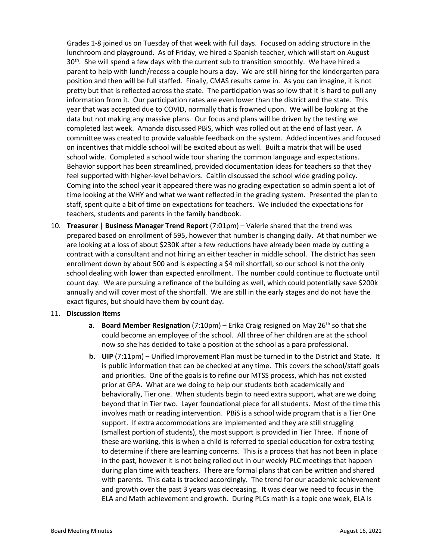Grades 1-8 joined us on Tuesday of that week with full days. Focused on adding structure in the lunchroom and playground. As of Friday, we hired a Spanish teacher, which will start on August  $30<sup>th</sup>$ . She will spend a few days with the current sub to transition smoothly. We have hired a parent to help with lunch/recess a couple hours a day. We are still hiring for the kindergarten para position and then will be full staffed. Finally, CMAS results came in. As you can imagine, it is not pretty but that is reflected across the state. The participation was so low that it is hard to pull any information from it. Our participation rates are even lower than the district and the state. This year that was accepted due to COVID, normally that is frowned upon. We will be looking at the data but not making any massive plans. Our focus and plans will be driven by the testing we completed last week. Amanda discussed PBiS, which was rolled out at the end of last year. A committee was created to provide valuable feedback on the system. Added incentives and focused on incentives that middle school will be excited about as well. Built a matrix that will be used school wide. Completed a school wide tour sharing the common language and expectations. Behavior support has been streamlined, provided documentation ideas for teachers so that they feel supported with higher-level behaviors. Caitlin discussed the school wide grading policy. Coming into the school year it appeared there was no grading expectation so admin spent a lot of time looking at the WHY and what we want reflected in the grading system. Presented the plan to staff, spent quite a bit of time on expectations for teachers. We included the expectations for teachers, students and parents in the family handbook.

10. **Treasurer** | **Business Manager Trend Report** (7:01pm) – Valerie shared that the trend was prepared based on enrollment of 595, however that number is changing daily. At that number we are looking at a loss of about \$230K after a few reductions have already been made by cutting a contract with a consultant and not hiring an either teacher in middle school. The district has seen enrollment down by about 500 and is expecting a \$4 mil shortfall, so our school is not the only school dealing with lower than expected enrollment. The number could continue to fluctuate until count day. We are pursuing a refinance of the building as well, which could potentially save \$200k annually and will cover most of the shortfall. We are still in the early stages and do not have the exact figures, but should have them by count day.

## 11. **Discussion Items**

- **a. Board Member Resignation** (7:10pm) Erika Craig resigned on May 26<sup>th</sup> so that she could become an employee of the school. All three of her children are at the school now so she has decided to take a position at the school as a para professional.
- **b. UIP** (7:11pm) Unified Improvement Plan must be turned in to the District and State. It is public information that can be checked at any time. This covers the school/staff goals and priorities. One of the goals is to refine our MTSS process, which has not existed prior at GPA. What are we doing to help our students both academically and behaviorally, Tier one. When students begin to need extra support, what are we doing beyond that in Tier two. Layer foundational piece for all students. Most of the time this involves math or reading intervention. PBiS is a school wide program that is a Tier One support. If extra accommodations are implemented and they are still struggling (smallest portion of students), the most support is provided in Tier Three. If none of these are working, this is when a child is referred to special education for extra testing to determine if there are learning concerns. This is a process that has not been in place in the past, however it is not being rolled out in our weekly PLC meetings that happen during plan time with teachers. There are formal plans that can be written and shared with parents. This data is tracked accordingly. The trend for our academic achievement and growth over the past 3 years was decreasing. It was clear we need to focus in the ELA and Math achievement and growth. During PLCs math is a topic one week, ELA is